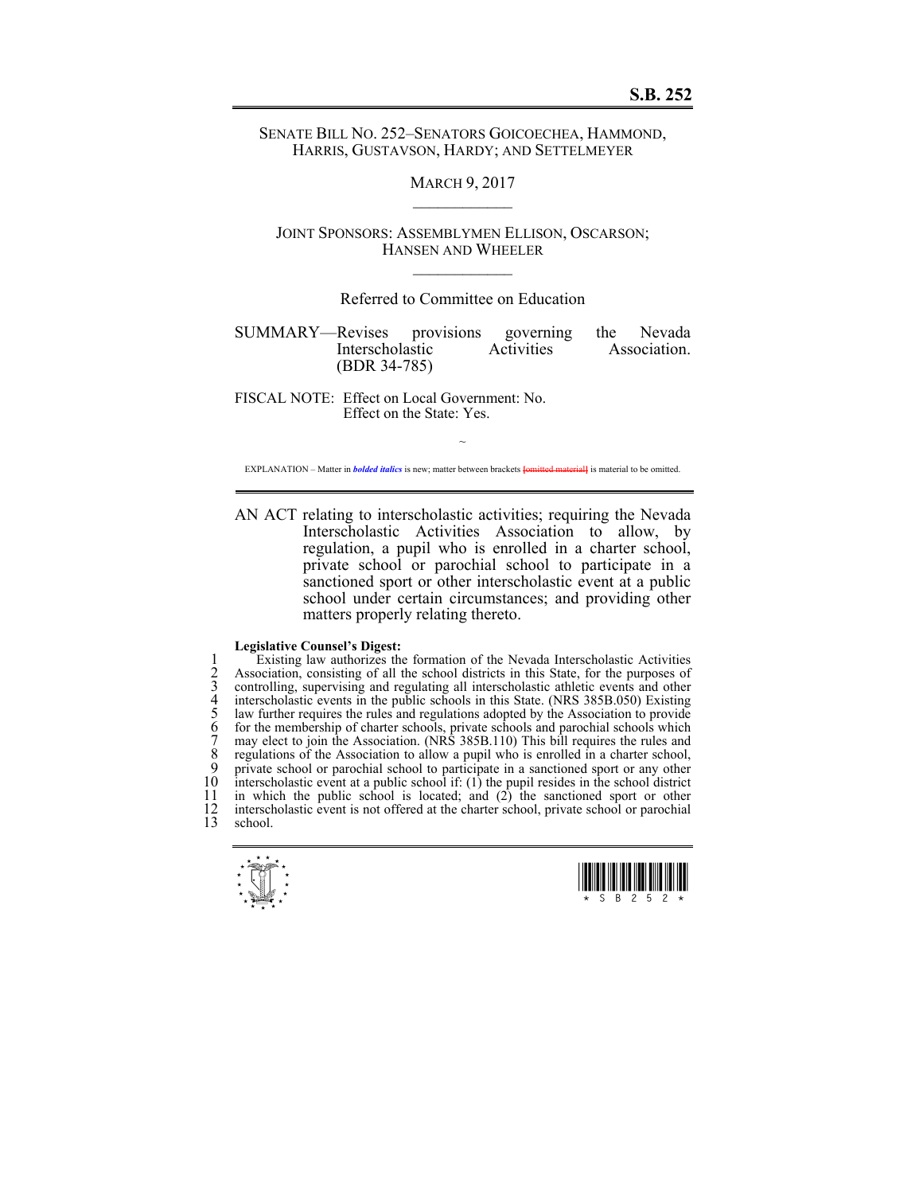# SENATE BILL NO. 252–SENATORS GOICOECHEA, HAMMOND, HARRIS, GUSTAVSON, HARDY; AND SETTELMEYER

### MARCH 9, 2017  $\mathcal{L}_\text{max}$

JOINT SPONSORS: ASSEMBLYMEN ELLISON, OSCARSON; HANSEN AND WHEELER  $\mathcal{L}_\text{max}$ 

# Referred to Committee on Education

SUMMARY—Revises provisions governing the Nevada Interscholastic (BDR 34-785)

FISCAL NOTE: Effect on Local Government: No. Effect on the State: Yes.

~ EXPLANATION – Matter in *bolded italics* is new; matter between brackets **[**omitted material**]** is material to be omitted.

AN ACT relating to interscholastic activities; requiring the Nevada Interscholastic Activities Association to allow, by regulation, a pupil who is enrolled in a charter school, private school or parochial school to participate in a sanctioned sport or other interscholastic event at a public school under certain circumstances; and providing other matters properly relating thereto.

#### **Legislative Counsel's Digest:**

Existing law authorizes the formation of the Nevada Interscholastic Activities<br>
2 Association, consisting of all the school districts in this State, for the purposes of<br>
3 controlling, supervising and regulating all inters 2 Association, consisting of all the school districts in this State, for the purposes of controlling, supervising and regulating all interscholastic athletic events and other interscholastic events in the public schools in this State. (NRS 385B.050) Existing law further requires the rules and regulations adopted by the Association to provide for the membership of charter schools, private schools and parochial schools which may elect to join the Association. (NRS 385B.110) This bill requires the rules and regulations of the Association to allow a pupil who is enrolled in a charter school, 9 private school or parochial school to participate in a sanctioned sport or any other 10 interscholastic event at a public school if:  $(1)$  the pupil resides in the school district 10 interscholastic event at a public school if:  $(1)$  the pupil resides in the school district 11 in which the public school is located; and  $(2)$  the sanctioned sport or other 11 in which the public school is located; and  $(2)$  the sanctioned sport or other 12 interscholastic event is not offered at the charter school, private school or parochial 12 interscholastic event is not offered at the charter school, private school or parochial school. school.